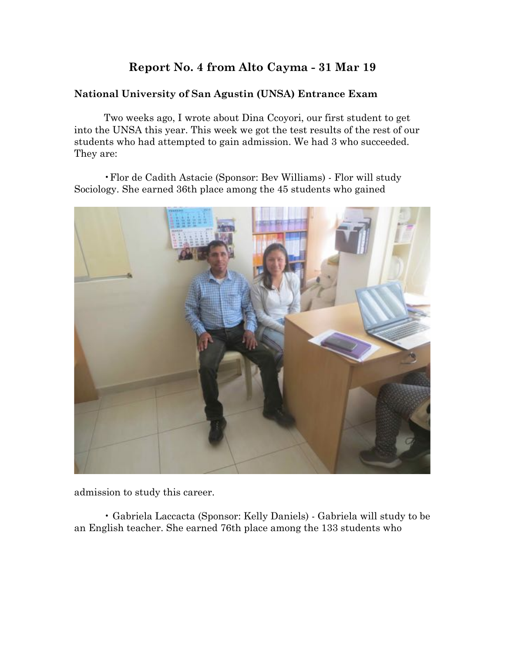# **Report No. 4 from Alto Cayma - 31 Mar 19**

# **National University of San Agustin (UNSA) Entrance Exam**

Two weeks ago, I wrote about Dina Ccoyori, our first student to get into the UNSA this year. This week we got the test results of the rest of our students who had attempted to gain admission. We had 3 who succeeded. They are:

•Flor de Cadith Astacie (Sponsor: Bev Williams) - Flor will study Sociology. She earned 36th place among the 45 students who gained



admission to study this career.

• Gabriela Laccacta (Sponsor: Kelly Daniels) - Gabriela will study to be an English teacher. She earned 76th place among the 133 students who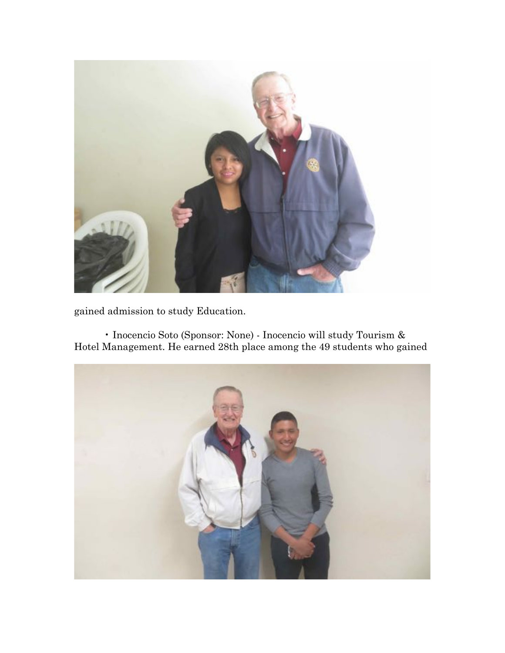

gained admission to study Education.

• Inocencio Soto (Sponsor: None) - Inocencio will study Tourism & Hotel Management. He earned 28th place among the 49 students who gained

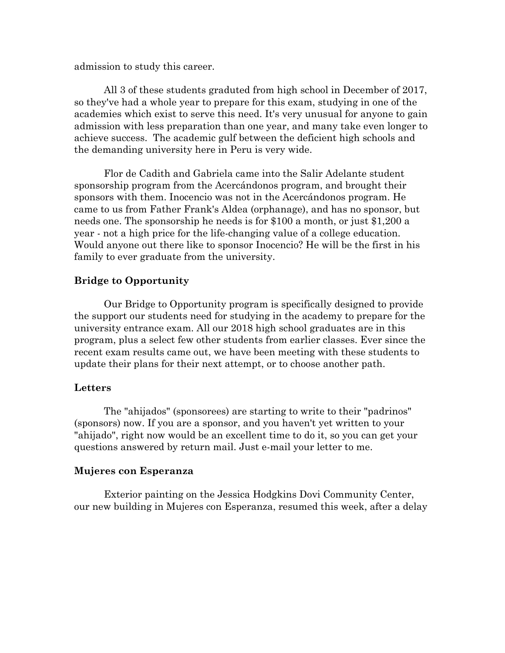admission to study this career.

All 3 of these students graduted from high school in December of 2017, so they've had a whole year to prepare for this exam, studying in one of the academies which exist to serve this need. It's very unusual for anyone to gain admission with less preparation than one year, and many take even longer to achieve success. The academic gulf between the deficient high schools and the demanding university here in Peru is very wide.

Flor de Cadith and Gabriela came into the Salir Adelante student sponsorship program from the Acercándonos program, and brought their sponsors with them. Inocencio was not in the Acercándonos program. He came to us from Father Frank's Aldea (orphanage), and has no sponsor, but needs one. The sponsorship he needs is for \$100 a month, or just \$1,200 a year - not a high price for the life-changing value of a college education. Would anyone out there like to sponsor Inocencio? He will be the first in his family to ever graduate from the university.

#### **Bridge to Opportunity**

Our Bridge to Opportunity program is specifically designed to provide the support our students need for studying in the academy to prepare for the university entrance exam. All our 2018 high school graduates are in this program, plus a select few other students from earlier classes. Ever since the recent exam results came out, we have been meeting with these students to update their plans for their next attempt, or to choose another path.

#### **Letters**

The "ahijados" (sponsorees) are starting to write to their "padrinos" (sponsors) now. If you are a sponsor, and you haven't yet written to your "ahijado", right now would be an excellent time to do it, so you can get your questions answered by return mail. Just e-mail your letter to me.

#### **Mujeres con Esperanza**

Exterior painting on the Jessica Hodgkins Dovi Community Center, our new building in Mujeres con Esperanza, resumed this week, after a delay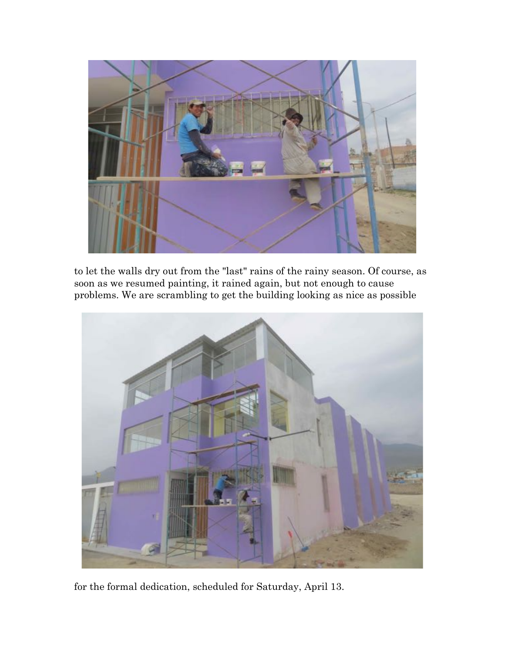

to let the walls dry out from the "last" rains of the rainy season. Of course, as soon as we resumed painting, it rained again, but not enough to cause problems. We are scrambling to get the building looking as nice as possible



for the formal dedication, scheduled for Saturday, April 13.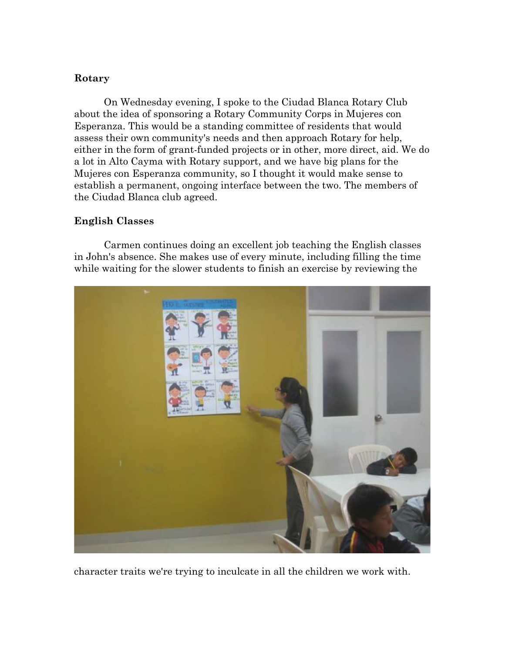### **Rotary**

On Wednesday evening, I spoke to the Ciudad Blanca Rotary Club about the idea of sponsoring a Rotary Community Corps in Mujeres con Esperanza. This would be a standing committee of residents that would assess their own community's needs and then approach Rotary for help, either in the form of grant-funded projects or in other, more direct, aid. We do a lot in Alto Cayma with Rotary support, and we have big plans for the Mujeres con Esperanza community, so I thought it would make sense to establish a permanent, ongoing interface between the two. The members of the Ciudad Blanca club agreed.

# **English Classes**

Carmen continues doing an excellent job teaching the English classes in John's absence. She makes use of every minute, including filling the time while waiting for the slower students to finish an exercise by reviewing the



character traits we're trying to inculcate in all the children we work with.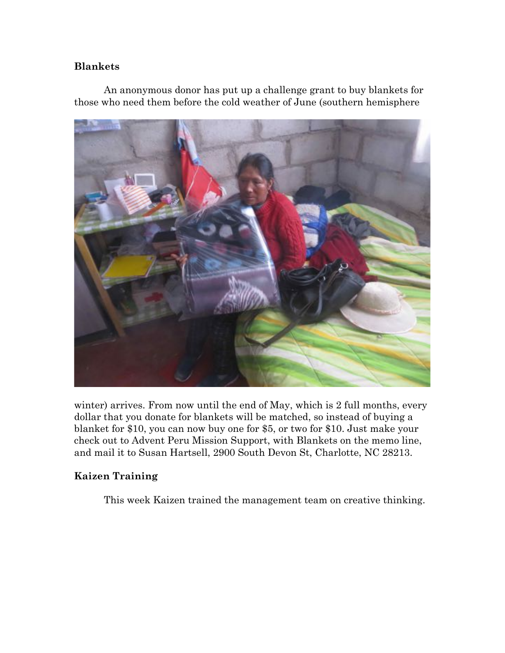### **Blankets**

An anonymous donor has put up a challenge grant to buy blankets for those who need them before the cold weather of June (southern hemisphere



winter) arrives. From now until the end of May, which is 2 full months, every dollar that you donate for blankets will be matched, so instead of buying a blanket for \$10, you can now buy one for \$5, or two for \$10. Just make your check out to Advent Peru Mission Support, with Blankets on the memo line, and mail it to Susan Hartsell, 2900 South Devon St, Charlotte, NC 28213.

# **Kaizen Training**

This week Kaizen trained the management team on creative thinking.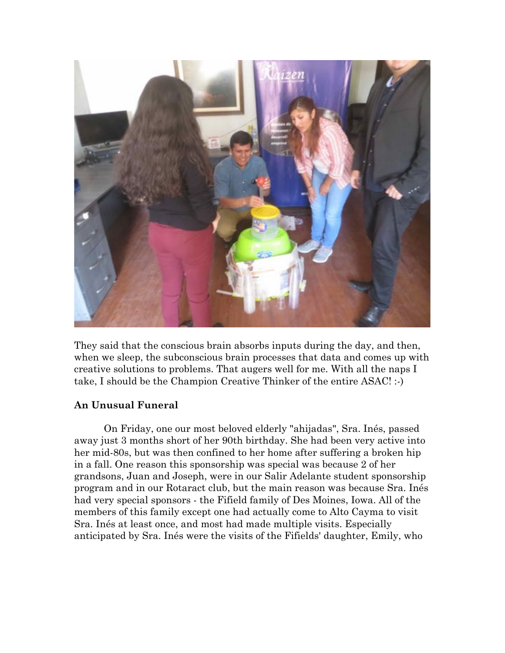

They said that the conscious brain absorbs inputs during the day, and then, when we sleep, the subconscious brain processes that data and comes up with creative solutions to problems. That augers well for me. With all the naps I take, I should be the Champion Creative Thinker of the entire ASAC! :-)

# **An Unusual Funeral**

On Friday, one our most beloved elderly "ahijadas", Sra. Inés, passed away just 3 months short of her 90th birthday. She had been very active into her mid-80s, but was then confined to her home after suffering a broken hip in a fall. One reason this sponsorship was special was because 2 of her grandsons, Juan and Joseph, were in our Salir Adelante student sponsorship program and in our Rotaract club, but the main reason was because Sra. Inés had very special sponsors - the Fifield family of Des Moines, Iowa. All of the members of this family except one had actually come to Alto Cayma to visit Sra. Inés at least once, and most had made multiple visits. Especially anticipated by Sra. Inés were the visits of the Fifields' daughter, Emily, who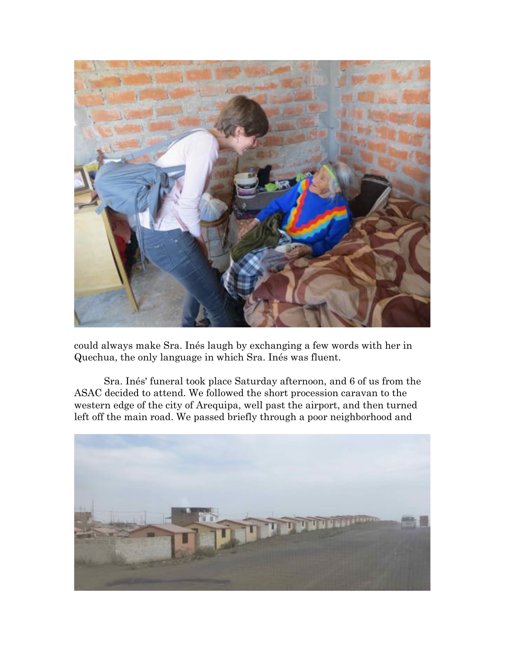

could always make Sra. Inés laugh by exchanging a few words with her in Quechua, the only language in which Sra. Inés was fluent.

Sra. Inés' funeral took place Saturday afternoon, and 6 of us from the ASAC decided to attend. We followed the short procession caravan to the western edge of the city of Arequipa, well past the airport, and then turned left off the main road. We passed briefly through a poor neighborhood and

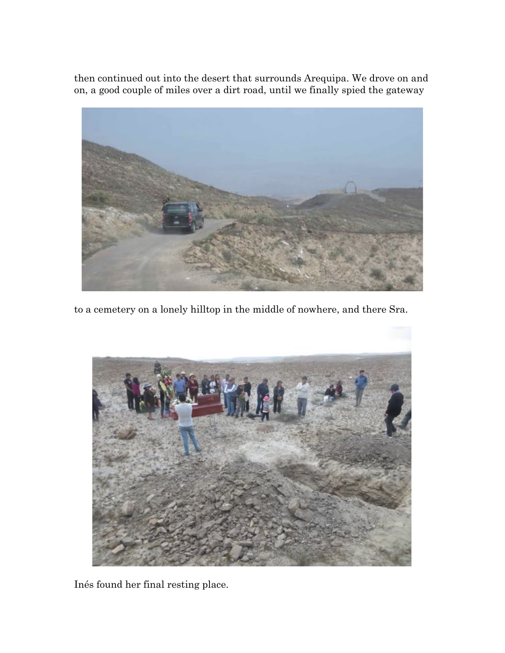then continued out into the desert that surrounds Arequipa. We drove on and on, a good couple of miles over a dirt road, until we finally spied the gateway



to a cemetery on a lonely hilltop in the middle of nowhere, and there Sra.



Inés found her final resting place.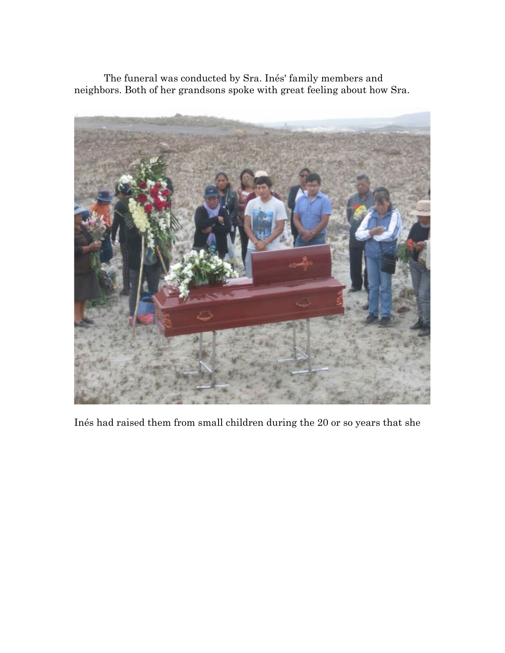The funeral was conducted by Sra. Inés' family members and neighbors. Both of her grandsons spoke with great feeling about how Sra.



Inés had raised them from small children during the 20 or so years that she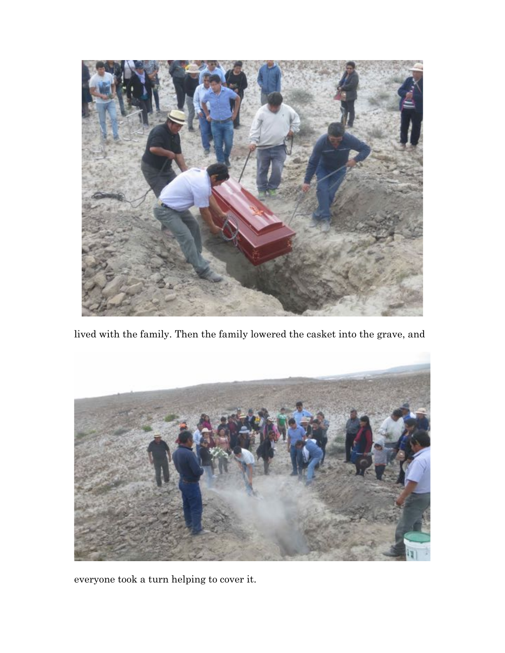

lived with the family. Then the family lowered the casket into the grave, and



everyone took a turn helping to cover it.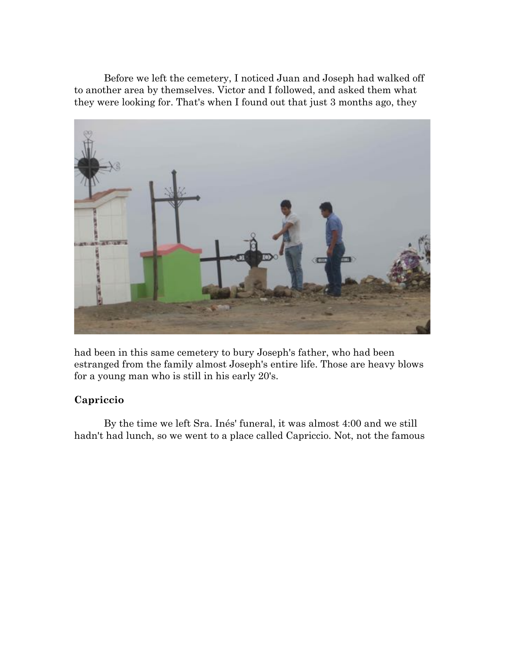Before we left the cemetery, I noticed Juan and Joseph had walked off to another area by themselves. Victor and I followed, and asked them what they were looking for. That's when I found out that just 3 months ago, they



had been in this same cemetery to bury Joseph's father, who had been estranged from the family almost Joseph's entire life. Those are heavy blows for a young man who is still in his early 20's.

# **Capriccio**

By the time we left Sra. Inés' funeral, it was almost 4:00 and we still hadn't had lunch, so we went to a place called Capriccio. Not, not the famous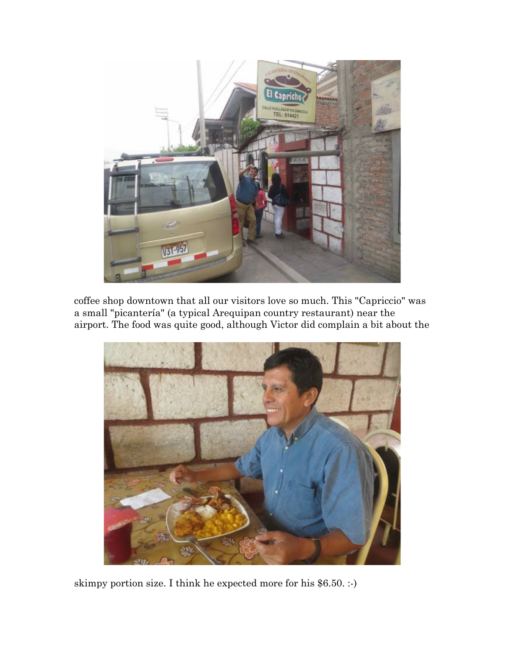

coffee shop downtown that all our visitors love so much. This "Capriccio" was a small "picantería" (a typical Arequipan country restaurant) near the airport. The food was quite good, although Victor did complain a bit about the



skimpy portion size. I think he expected more for his \$6.50. :-)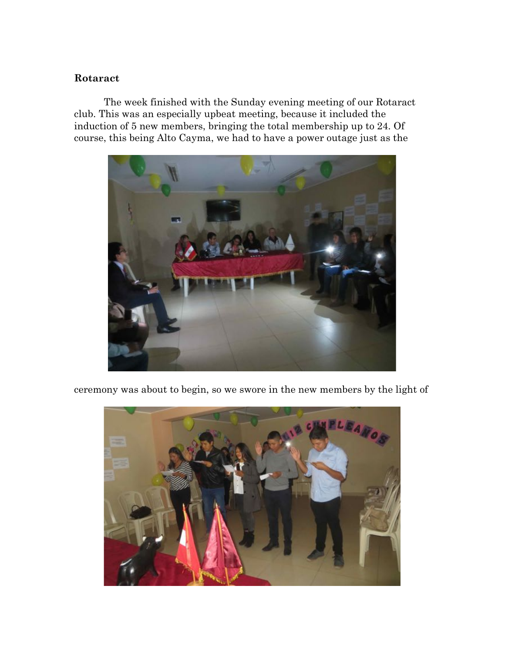#### **Rotaract**

The week finished with the Sunday evening meeting of our Rotaract club. This was an especially upbeat meeting, because it included the induction of 5 new members, bringing the total membership up to 24. Of course, this being Alto Cayma, we had to have a power outage just as the



ceremony was about to begin, so we swore in the new members by the light of